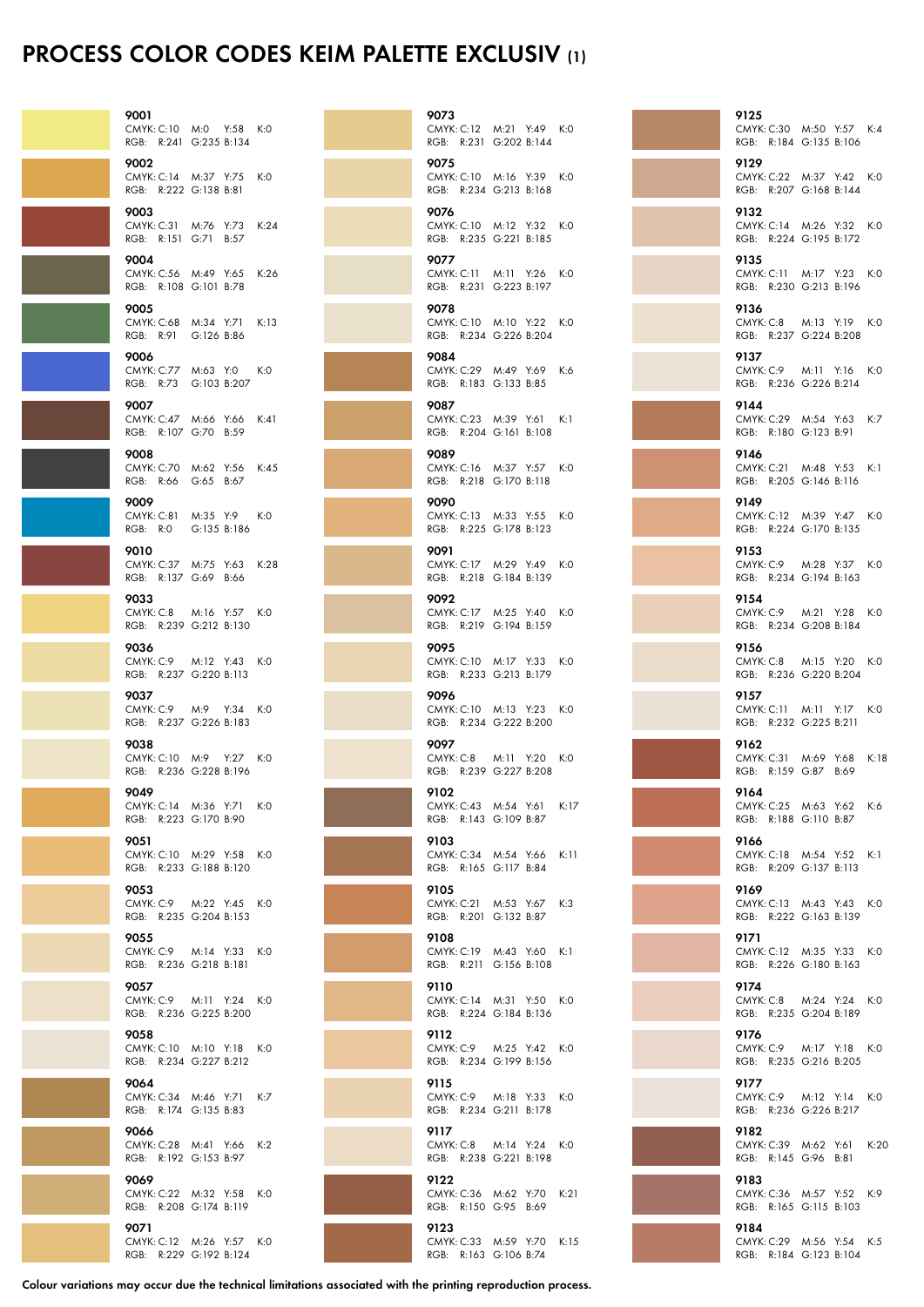## Process Color Codes KEIM Palette Exclusiv (1)

| 9001                      | CMYK: C:10 M:0 Y:58 K:0<br>RGB: R:241 G:235 B:134  |     |
|---------------------------|----------------------------------------------------|-----|
| 9002<br>RGB:              | CMYK: C:14 M:37 Y:75 K:0<br>R:222 G:138 B:81       |     |
| 9003                      | CMYK: C:31 M:76 Y:73 K:24<br>RGB: R:151 G:71 B:57  |     |
| 9004                      | CMYK: C:56 M:49 Y:65 K:26<br>RGB: R:108 G:101 B:78 |     |
| 9005<br><b>CMYK: C:68</b> | M:34 Y:71 K:13<br>RGB: R:91 G:126 B:86             |     |
| 9006                      | CMYK: C:77 M:63 Y:0 K:0<br>RGB: R:73 G:103 B:207   |     |
| 9007                      | CMYK: C:47 M:66 Y:66 K:41<br>RGB: R:107 G:70 B:59  |     |
| 9008                      | CMYK: C:70 M:62 Y:56 K:45<br>RGB: R:66 G:65 B:67   |     |
| 9009                      | CMYK: C:81 M:35 Y:9<br>RGB: R:0 G:135 B:186        | K:O |
| 9010                      | CMYK: C:37 M:75 Y:63 K:28<br>RGB: R:137 G:69 B:66  |     |
| 9033                      | CMYK: C:8 M:16 Y:57 K:0<br>RGB: R:239 G:212 B:130  |     |
| 9036                      | CMYK: C:9 M:12 Y:43 K:0<br>RGB: R:237 G:220 B:113  |     |
| 9037                      | CMYK: C:9 M:9 Y:34 K:0<br>RGB: R:237 G:226 B:183   |     |
| 9038                      | CMYK: C:10 M:9 Y:27 K:0<br>RGB: R:236 G:228 B:196  |     |
| 9049                      | CMYK: C:14 M:36 Y:71 K:0<br>RGB: R:223 G:170 B:90  |     |
| 9051                      | CMYK: C:10 M:29 Y:58 K:0<br>RGB: R:233 G:188 B:120 |     |
| 9053                      | CMYK: C:9 M:22 Y:45 K:0<br>RGB: R:235 G:204 B:153  |     |
| 9055                      | CMYK: C:9 M:14 Y:33 K:0<br>RGB: R:236 G:218 B:181  |     |
| 9057<br>CMYK: C:9         | M:11 Y:24<br>RGB: R:236 G:225 B:200                | K:O |
| 9058                      | CMYK: C:10 M:10 Y:18 K:0<br>RGB: R:234 G:227 B:212 |     |
| 9064                      | CMYK: C:34 M:46 Y:71 K:7<br>RGB: R:174 G:135 B:83  |     |
| 9066                      | CMYK: C:28 M:41 Y:66 K:2<br>RGB: R:192 G:153 B:97  |     |
| 9069<br>RGB:              | CMYK: C:22 M:32 Y:58 K:0<br>R:208 G:174 B:119      |     |
| 9071                      | CMYK: C:12 M:26 Y:57 K:0                           |     |

| 9073 | CMYK: C:12 M:21 Y:49 K:0<br>RGB: R:231 G:202 B:144 |      |
|------|----------------------------------------------------|------|
| 9075 | CMYK: C:10 M:16 Y:39 K:0<br>RGB: R:234 G:213 B:168 |      |
| 9076 | CMYK: C:10 M:12 Y:32 K:0<br>RGB: R:235 G:221 B:185 |      |
| 9077 | CMYK: C:11 M:11 Y:26 K:0<br>RGB: R:231 G:223 B:197 |      |
| 9078 | CMYK: C:10 M:10 Y:22 K:0<br>RGB: R:234 G:226 B:204 |      |
| 9084 | CMYK: C:29 M:49 Y:69<br>RGB: R:183 G:133 B:85      | K:6  |
| 9087 | CMYK: C:23 M:39 Y:61 K:1<br>RGB: R:204 G:161 B:108 |      |
| 9089 | CMYK: C:16 M:37 Y:57 K:0<br>RGB: R:218 G:170 B:118 |      |
| 9090 | CMYK: C:13 M:33 Y:55 K:0<br>RGB: R:225 G:178 B:123 |      |
| 9091 | CMYK: C:17 M:29 Y:49 K:0<br>RGB: R:218 G:184 B:139 |      |
| 9092 | CMYK: C:17 M:25 Y:40 K:0<br>RGB: R:219 G:194 B:159 |      |
| 9095 | CMYK: C:10 M:17 Y:33 K:0<br>RGB: R:233 G:213 B:179 |      |
| 9096 | CMYK: C:10 M:13 Y:23<br>RGB: R:234 G:222 B:200     | K:O  |
| 9097 | CMYK: C:8 M:11 Y:20<br>RGB: R:239 G:227 B:208      | K:0  |
| 9102 | CMYK: C:43 M:54 Y:61 K:17<br>RGB: R:143 G:109 B:87 |      |
| 9103 | CMYK: C:34 M:54 Y:66<br>RGB: R:165 G:117 B:84      | K:11 |
| 9105 | CMYK: C:21 M:53 Y:67<br>RGB: R:201 G:132 B:87      | K:3  |
| 9108 | CMYK: C:19 M:43 Y:60<br>RGB: R:211 G:156 B:108     | K:1  |
| 9110 | CMYK: C:14 M:31 Y:50 K:0<br>RGB: R:224 G:184 B:136 |      |
| 9112 | CMYK: C:9 M:25 Y:42 K:0<br>RGB: R:234 G:199 B:156  |      |
| 9115 | CMYK: C:9 M:18 Y:33 K:0<br>RGB: R:234 G:211 B:178  |      |
| 9117 | CMYK: C:8 M:14 Y:24 K:0<br>RGB: R:238 G:221 B:198  |      |
| 9122 | CMYK: C:36 M:62 Y:70 K:21<br>RGB: R:150 G:95 B:69  |      |
| 9123 | CMYK: C:33 M:59 Y:70 K:15<br>RGB: R:163 G:106 B:74 |      |

9125 CMYK: C:30 M:50 Y:57 K:4 RGB: R:184 G:135 B:106 9129 CMYK: C:22 M:37 Y:42 K:0 RGB: R:207 G:168 B:144 9132 CMYK: C:14 M:26 Y:32 K:0 RGB: R:224 G:195 B:172 9135 CMYK: C:11 M:17 Y:23 K:0 RGB: R:230 G:213 B:196 9136 CMYK: C:8 M:13 Y:19 K:0 RGB: R:237 G:224 B:208 9137 CMYK: C:9 M:11 Y:16 K:0 RGB: R:236 G:226 B:214 9144 CMYK: C:29 M:54 Y:63 K:7 RGB: R:180 G:123 B:91 9146 CMYK: C:21 M:48 Y:53 K:1 RGB: R:205 G:146 B:116 9149 CMYK: C:12 M:39 Y:47 K:0 RGB: R:224 G:170 B:135 9153 CMYK: C:9 M:28 Y:37 K:0 RGB: R:234 G:194 B:163 9154 CMYK: C:9 M:21 Y:28 K:0 RGB: R:234 G:208 B:184 9156 CMYK: C:8 M:15 Y:20 K:0 RGB: R:236 G:220 B:204 9157 CMYK: C:11 M:11 Y:17 K:0 RGB: R:232 G:225 B:211 9162 CMYK: C:31 M:69 Y:68 K:18 RGB: R:159 G:87 B:69 9164 CMYK: C:25 M:63 Y:62 K:6 RGB: R:188 G:110 B:87 9166 CMYK: C:18 M:54 Y:52 K:1 RGB: R:209 G:137 B:113 9169 CMYK: C:13 M:43 Y:43 K:0 RGB: R:222 G:163 B:139 9171 CMYK: C:12 M:35 Y:33 K:0 RGB: R:226 G:180 B:163 9174 CMYK: C:8 M:24 Y:24 K:0 RGB: R:235 G:204 B:189 9176 CMYK: C:9 M:17 Y:18 K:0 RGB: R:235 G:216 B:205 9177 CMYK: C:9 M:12 Y:14 K:0 RGB: R:236 G:226 B:217 9182 CMYK: C:39 M:62 Y:61 K:20 RGB: R:145 G:96 B:81 9183 CMYK: C:36 M:57 Y:52 K:9 RGB: R:165 G:115 B:103

9184

CMYK: C:29 M:56 Y:54 K:5 RGB: R:184 G:123 B:104

Colour variations may occur due the technical limitations associated with the printing reproduction process.

RGB: R:229 G:192 B:124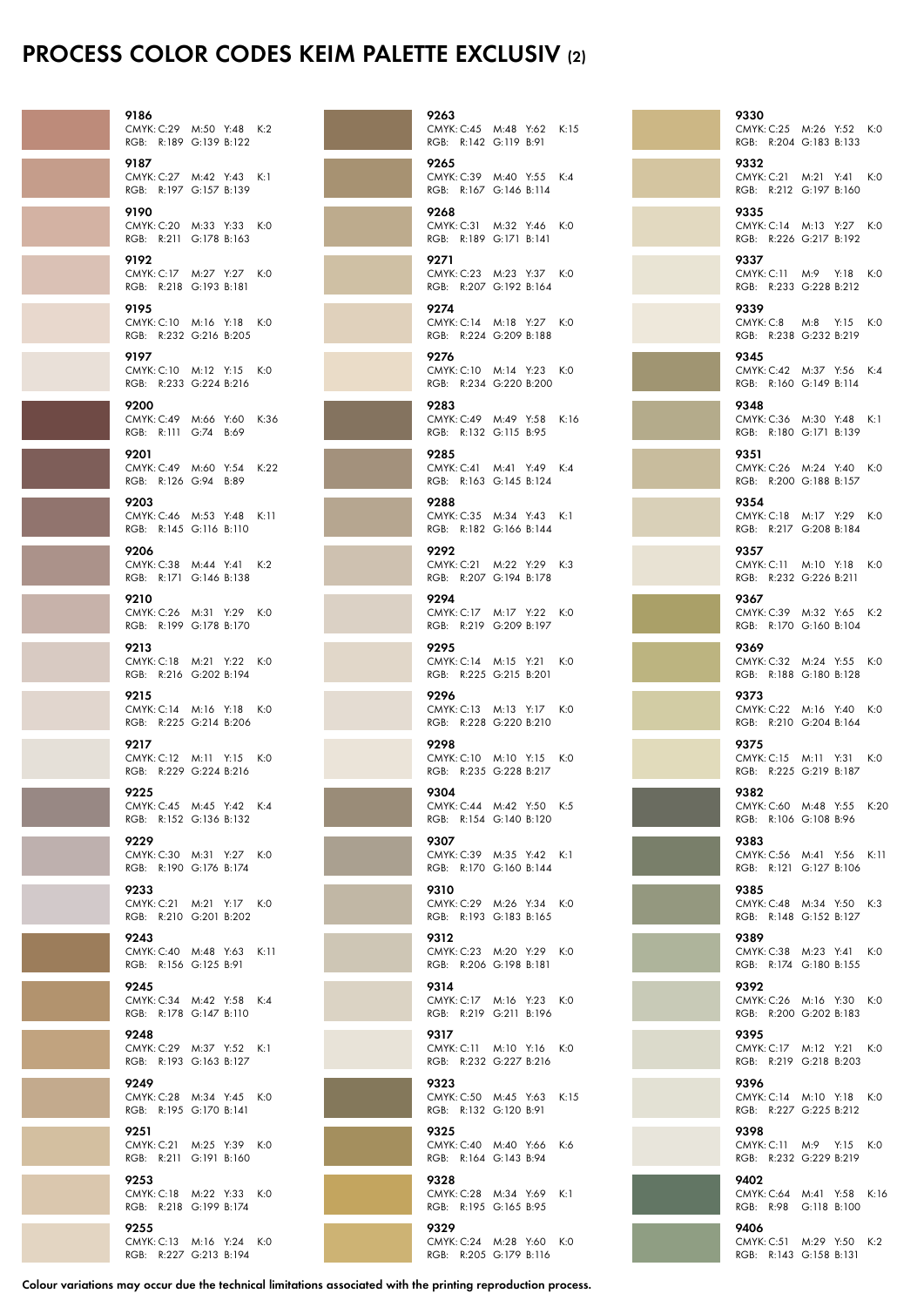## Process Color Codes KEIM Palette Exclusiv (2)

| 9186                          | CMYK: C:29 M:50 Y:48 K:2<br>RGB: R:189 G:139 B:122  |  |
|-------------------------------|-----------------------------------------------------|--|
| 9187                          | CMYK: C:27 M:42 Y:43 K:1<br>RGB: R:197 G:157 B:139  |  |
| 9190                          | CMYK: C:20 M:33 Y:33 K:0<br>RGB: R:211 G:178 B:163  |  |
| 9192                          | CMYK: C:17 M:27 Y:27 K:0<br>RGB: R:218 G:193 B:181  |  |
| 9195                          | CMYK: C:10 M:16 Y:18 K:0<br>RGB: R:232 G:216 B:205  |  |
| 9197                          | CMYK: C:10 M:12 Y:15 K:0<br>RGB: R:233 G:224 B:216  |  |
| 9200<br>RGB: R:111 G:74 B:69  | CMYK: C:49 M:66 Y:60 K:36                           |  |
| 9201<br>RGB: R:126 G:94 B:89  | CMYK: C:49 M:60 Y:54 K:22                           |  |
| 9203                          | CMYK: C:46 M:53 Y:48 K:11<br>RGB: R:145 G:116 B:110 |  |
| 9206                          | CMYK: C:38 M:44 Y:41 K:2<br>RGB: R:171 G:146 B:138  |  |
| 9210                          | CMYK: C:26 M:31 Y:29 K:0<br>RGB: R:199 G:178 B:170  |  |
| 9213                          | CMYK: C:18 M:21 Y:22 K:0<br>RGB: R:216 G:202 B:194  |  |
| 9215                          | CMYK: C:14 M:16 Y:18 K:0<br>RGB: R:225 G:214 B:206  |  |
| 9217                          | CMYK: C:12 M:11 Y:15 K:0                            |  |
| 9225                          | RGB: R:229 G:224 B:216<br>CMYK: C:45 M:45 Y:42 K:4  |  |
| 9229                          | RGB: R:152 G:136 B:132<br>CMYK: C:30 M:31 Y:27 K:0  |  |
| 9233                          | RGB: R:190 G:176 B:174<br>CMYK: C:21 M:21 Y:17 K:0  |  |
| 9243                          | RGB: R:210 G:201 B:202<br>CMYK: C:40 M:48 Y:63 K:11 |  |
| RGB: R:156 G:125 B:91<br>9245 | CMYK: C:34 M:42 Y:58 K:4                            |  |
| 9248                          | RGB: R:178 G:147 B:110<br>CMYK: C:29 M:37 Y:52 K:1  |  |
| 9249                          | RGB: R:193 G:163 B:127<br>CMYK: C:28 M:34 Y:45 K:0  |  |
| 9251                          | RGB: R:195 G:170 B:141<br>CMYK: C:21 M:25 Y:39 K:0  |  |
| 9253                          | RGB: R:211 G:191 B:160<br>CMYK: C:18 M:22 Y:33 K:0  |  |
| 9255                          | RGB: R:218 G:199 B:174<br>CMYK: C:13 M:16 Y:24 K:0  |  |
|                               | RGB: R:227 G:213 B:194                              |  |

| 9263                                                       |     |
|------------------------------------------------------------|-----|
| CMYK: C:45 M:48 Y:62 K:15<br>RGB: R:142 G:119 B:91         |     |
| 9265<br>CMYK: C:39 M:40 Y:55 K:4<br>RGB: R:167 G:146 B:114 |     |
| 9268<br>CMYK: C:31 M:32 Y:46 K:0<br>RGB: R:189 G:171 B:141 |     |
| 9271<br>CMYK: C:23 M:23 Y:37 K:0<br>RGB: R:207 G:192 B:164 |     |
| 9274<br>CMYK: C:14 M:18 Y:27 K:0<br>RGB: R:224 G:209 B:188 |     |
| 9276<br>CMYK: C:10 M:14 Y:23 K:0<br>RGB: R:234 G:220 B:200 |     |
| 9283<br>CMYK: C:49 M:49 Y:58 K:16<br>RGB: R:132 G:115 B:95 |     |
| 9285<br>CMYK: C:41 M:41 Y:49 K:4<br>RGB: R:163 G:145 B:124 |     |
| 9288<br>CMYK: C:35 M:34 Y:43<br>RGB: R:182 G:166 B:144     | K:1 |
| 9292<br>CMYK: C:21 M:22 Y:29 K:3<br>RGB: R:207 G:194 B:178 |     |
| 9294<br>CMYK: C:17 M:17 Y:22 K:0<br>RGB: R:219 G:209 B:197 |     |
| 9295<br>CMYK: C:14 M:15 Y:21 K:0<br>RGB: R:225 G:215 B:201 |     |
| 9296<br>CMYK: C:13 M:13 Y:17 K:0<br>RGB: R:228 G:220 B:210 |     |
| 9298<br>CMYK: C:10 M:10 Y:15 K:0<br>RGB: R:235 G:228 B:217 |     |
| 9304<br>CMYK: C:44 M:42 Y:50 K:5<br>RGB: R:154 G:140 B:120 |     |
| 9307<br>CMYK: C:39 M:35 Y:42 K:1<br>RGB: R:170 G:160 B:144 |     |
| 9310<br>CMYK: C:29 M:26 Y:34 K:0<br>RGB: R:193 G:183 B:165 |     |
| 9312<br>CMYK: C:23 M:20 Y:29 K:0<br>RGB: R:206 G:198 B:181 |     |
| 9314<br>CMYK: C:17 M:16 Y:23 K:0<br>RGB: R:219 G:211 B:196 |     |
| 9317<br>CMYK: C:11 M:10 Y:16 K:0<br>RGB: R:232 G:227 B:216 |     |
| 9323<br>CMYK: C:50 M:45 Y:63 K:15<br>RGB: R:132 G:120 B:91 |     |
| 9325<br>CMYK: C:40 M:40 Y:66<br>RGB: R:164 G:143 B:94      | K:6 |
| 9328<br>CMYK: C:28 M:34 Y:69<br>RGB: R:195 G:165 B:95      | K:1 |
| 9329<br>CMYK: C:24 M:28 Y:60 K:0<br>RGB: R:205 G:179 B:116 |     |

9330 CMYK: C:25 M:26 Y:52 K:0 RGB: R:204 G:183 B:133 9332 CMYK: C:21 M:21 Y:41 K:0 RGB: R:212 G:197 B:160 9335 CMYK: C:14 M:13 Y:27 K:0 RGB: R:226 G:217 B:192 9337 CMYK: C:11 M:9 Y:18 K:0 RGB: R:233 G:228 B:212 9339 CMYK: C:8 M:8 Y:15 K:0 RGB: R:238 G:232 B:219 9345 CMYK: C:42 M:37 Y:56 K:4 RGB: R:160 G:149 B:114 9348 CMYK: C:36 M:30 Y:48 K:1 RGB: R:180 G:171 B:139 9351 CMYK: C:26 M:24 Y:40 K:0 RGB: R:200 G:188 B:157 9354 CMYK: C:18 M:17 Y:29 K:0 RGB: R:217 G:208 B:184 9357 CMYK: C:11 M:10 Y:18 K:0 RGB: R:232 G:226 B:211 9367 CMYK: C:39 M:32 Y:65 K:2 RGB: R:170 G:160 B:104 9369 CMYK: C:32 M:24 Y:55 K:0 RGB: R:188 G:180 B:128 9373 CMYK: C:22 M:16 Y:40 K:0 RGB: R:210 G:204 B:164 9375 CMYK: C:15 M:11 Y:31 K:0 RGB: R:225 G:219 B:187 9382 CMYK: C:60 M:48 Y:55 K:20 RGB: R:106 G:108 B:96 9383 CMYK: C:56 M:41 Y:56 K:11 RGB: R:121 G:127 B:106 9385 CMYK: C:48 M:34 Y:50 K:3 RGB: R:148 G:152 B:127 9389 CMYK: C:38 M:23 Y:41 K:0 RGB: R:174 G:180 B:155 9392 CMYK: C:26 M:16 Y:30 K:0 RGB: R:200 G:202 B:183 9395 CMYK: C:17 M:12 Y:21 K:0 RGB: R:219 G:218 B:203 9396 CMYK: C:14 M:10 Y:18 K:0 RGB: R:227 G:225 B:212 9398 CMYK: C:11 M:9 Y:15 K:0 RGB: R:232 G:229 B:219 9402 CMYK: C:64 M:41 Y:58 K:16 RGB: R:98 G:118 B:100 9406

CMYK: C:51 M:29 Y:50 K:2 RGB: R:143 G:158 B:131

Colour variations may occur due the technical limitations associated with the printing reproduction process.